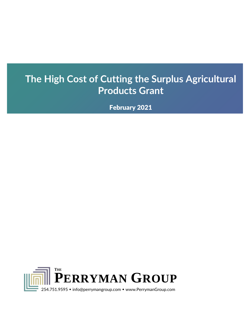# **The High Cost of Cutting the Surplus Agricultural Products Grant**

February 2021

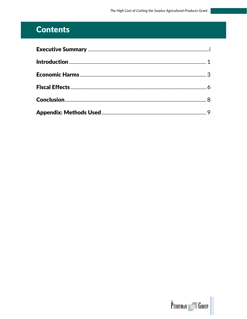# **Contents**

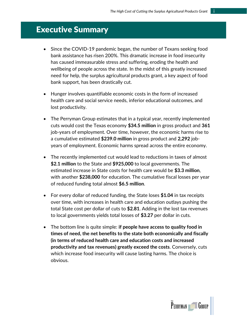### <span id="page-2-0"></span>Executive Summary

- Since the COVID-19 pandemic began, the number of Texans seeking food bank assistance has risen 200%. This dramatic increase in food insecurity has caused immeasurable stress and suffering, eroding the health and wellbeing of people across the state. In the midst of this greatly increased need for help, the surplus agricultural products grant, a key aspect of food bank support, has been drastically cut.
- Hunger involves quantifiable economic costs in the form of increased health care and social service needs, inferior educational outcomes, and lost productivity.
- The Perryman Group estimates that in a typical year, recently implemented cuts would cost the Texas economy **\$34.5 million** in gross product and **361**  job-years of employment. Over time, however, the economic harms rise to a cumulative estimated **\$239.0 million** in gross product and **2,292** jobyears of employment. Economic harms spread across the entire economy.
- The recently implemented cut would lead to reductions in taxes of almost **\$2.1 million** to the State and **\$925,000** to local governments. The estimated increase in State costs for health care would be **\$3.3 million**, with another **\$238,000** for education. The cumulative fiscal losses per year of reduced funding total almost **\$6.5 million**.
- For every dollar of reduced funding, the State loses **\$1.04** in tax receipts over time, with increases in health care and education outlays pushing the total State cost per dollar of cuts to **\$2.81**. Adding in the lost tax revenues to local governments yields total losses of **\$3.27** per dollar in cuts.
- The bottom line is quite simple: **if people have access to quality food in times of need, the net benefits to the state both economically and fiscally (in terms of reduced health care and education costs and increased productivity and tax revenues) greatly exceed the costs**. Conversely, cuts which increase food insecurity will cause lasting harms. The choice is obvious.



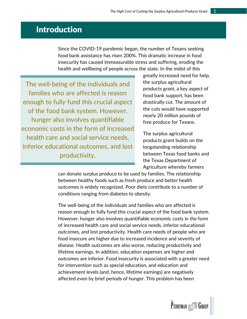### <span id="page-3-0"></span>Introduction

Since the COVID-19 pandemic began, the number of Texans seeking food bank assistance has risen 200%. This dramatic increase in food insecurity has caused immeasurable stress and suffering, eroding the health and wellbeing of people across the state. In the midst of this

The well-being of the individuals and families who are affected is reason enough to fully fund this crucial aspect of the food bank system. However, hunger also involves quantifiable economic costs in the form of increased health care and social service needs, inferior educational outcomes, and lost productivity.

greatly increased need for help, the surplus agricultural products grant, a key aspect of food bank support, has been drastically cut. The amount of the cuts would have supported nearly 20 million pounds of free produce for Texans.

The surplus agricultural products grant builds on the longstanding relationship between Texas food banks and the Texas Department of Agriculture whereby farmers

can donate surplus produce to be used by families. The relationship between healthy foods such as fresh produce and better health outcomes is widely recognized. Poor diets contribute to a number of conditions ranging from diabetes to obesity.

The well-being of the individuals and families who are affected is reason enough to fully fund this crucial aspect of the food bank system. However, hunger also involves quantifiable economic costs in the form of increased health care and social service needs, inferior educational outcomes, and lost productivity. Health care needs of people who are food insecure are higher due to increased incidence and severity of disease. Health outcomes are also worse, reducing productivity and lifetime earnings. In addition, education expenses are higher and outcomes are inferior. Food insecurity is associated with a greater need for intervention such as special education, and education and achievement levels (and, hence, lifetime earnings) are negatively affected even by brief periods of hunger. This problem has been

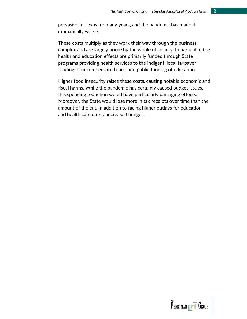pervasive in Texas for many years, and the pandemic has made it dramatically worse.

These costs multiply as they work their way through the business complex and are largely borne by the whole of society. In particular, the health and education effects are primarily funded through State programs providing health services to the indigent, local taxpayer funding of uncompensated care, and public funding of education.

Higher food insecurity raises these costs, causing notable economic and fiscal harms. While the pandemic has certainly caused budget issues, this spending reduction would have particularly damaging effects. Moreover, the State would lose more in tax receipts over time than the amount of the cut, in addition to facing higher outlays for education and health care due to increased hunger.



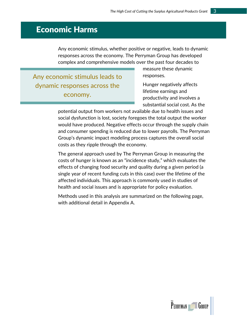### <span id="page-5-0"></span>Economic Harms

Any economic stimulus, whether positive or negative, leads to dynamic responses across the economy. The Perryman Group has developed complex and comprehensive models over the past four decades to

Any economic stimulus leads to dynamic responses across the economy.

measure these dynamic responses.

Hunger negatively affects lifetime earnings and productivity and involves a substantial social cost. As the

potential output from workers not available due to health issues and social dysfunction is lost, society foregoes the total output the worker would have produced. Negative effects occur through the supply chain and consumer spending is reduced due to lower payrolls. The Perryman Group's dynamic impact modeling process captures the overall social costs as they ripple through the economy.

The general approach used by The Perryman Group in measuring the costs of hunger is known as an "incidence study," which evaluates the effects of changing food security and quality during a given period (a single year of recent funding cuts in this case) over the lifetime of the affected individuals. This approach is commonly used in studies of health and social issues and is appropriate for policy evaluation.

Methods used in this analysis are summarized on the following page, with additional detail in Appendix A.

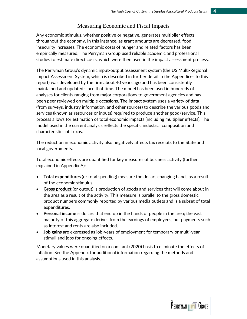#### Measuring Economic and Fiscal Impacts

Any economic stimulus, whether positive or negative, generates multiplier effects throughout the economy. In this instance, as grant amounts are decreased, food insecurity increases. The economic costs of hunger and related factors has been empirically measured; The Perryman Group used reliable academic and professional studies to estimate direct costs, which were then used in the impact assessment process.

The Perryman Group's dynamic input-output assessment system (the US Multi-Regional Impact Assessment System, which is described in further detail in the Appendices to this report) was developed by the firm about 40 years ago and has been consistently maintained and updated since that time. The model has been used in hundreds of analyses for clients ranging from major corporations to government agencies and has been peer reviewed on multiple occasions. The impact system uses a variety of data (from surveys, industry information, and other sources) to describe the various goods and services (known as resources or inputs) required to produce another good/service. This process allows for estimation of total economic impacts (including multiplier effects). The model used in the current analysis reflects the specific industrial composition and characteristics of Texas.

The reduction in economic activity also negatively affects tax receipts to the State and local governments.

Total economic effects are quantified for key measures of business activity (further explained in Appendix A):

- **Total expenditures** (or total spending) measure the dollars changing hands as a result of the economic stimulus.
- **Gross product** (or output) is production of goods and services that will come about in the area as a result of the activity. This measure is parallel to the gross domestic product numbers commonly reported by various media outlets and is a subset of total expenditures.
- **Personal income** is dollars that end up in the hands of people in the area; the vast majority of this aggregate derives from the earnings of employees, but payments such as interest and rents are also included.
- **Job gains** are expressed as job-years of employment for temporary or multi-year stimuli and jobs for ongoing effects.

Monetary values were quantified on a constant (2020) basis to eliminate the effects of inflation. See the Appendix for additional information regarding the methods and assumptions used in this analysis.

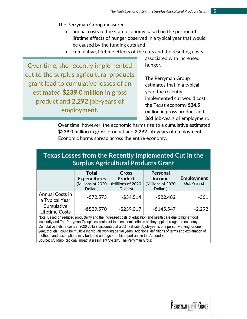The Perryman Group measured

- annual costs to the state economy based on the portion of lifetime effects of hunger observed in a typical year that would be caused by the funding cuts and
- cumulative, lifetime effects of the cuts and the resulting costs

Over time, the recently implemented cut to the surplus agricultural products grant lead to cumulative losses of an estimated **\$239.0 million** in gross product and **2,292** job-years of employment.

associated with increased hunger.

The Perryman Group estimates that in a typical year, the recently implemented cut would cost the Texas economy **\$34.5 million** in gross product and **361** job-years of employment.

Over time, however, the economic harms rise to a cumulative estimated **\$239.0 million** in gross product and **2,292** job-years of employment. Economic harms spread across the entire economy.

#### **Texas Losses from the Recently Implemented Cut in the Surplus Agricultural Products Grant**

|                                   | <b>Total</b><br><b>Expenditures</b><br>(Millions of 2020<br>Dollars) | <b>Gross</b><br><b>Product</b><br>(Millions of 2020)<br>Dollars) | <b>Personal</b><br><b>Income</b><br>(Millions of 2020<br>Dollars) | Employment<br>(Job-Years) |
|-----------------------------------|----------------------------------------------------------------------|------------------------------------------------------------------|-------------------------------------------------------------------|---------------------------|
| Annual Costs in<br>a Typical Year | $- $72.573$                                                          | $-$ \$34.514                                                     | $-$ \$22.482                                                      | $-361$                    |
| Cumulative<br>Lifetime Costs      | $-$ \$529.570                                                        | $-$ \$239.017                                                    | $-$145.547$                                                       | $-2,292$                  |

Note: Based on reduced productivity and the increased costs of education and health care due to higher food insecurity and The Perryman Group's estimates of total economic effects as they ripple through the economy. Cumulative lifetime costs in 2020 dollars discounted at a 3% real rate. A job-year is one person working for one year, though it could be multiple individuals working partial years. Additional definitions of terms and explanation of methods and assumptions may be found on page 4 of this report and in the Appendix. Source: US Multi-Regional Impact Assessment System, The Perryman Group

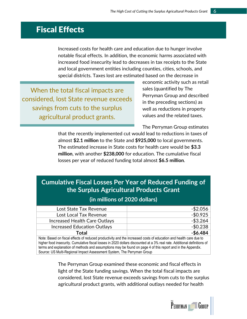### <span id="page-8-0"></span>Fiscal Effects

Increased costs for health care and education due to hunger involve notable fiscal effects. In addition, the economic harms associated with increased food insecurity lead to decreases in tax receipts to the State and local government entities including counties, cities, schools, and special districts. Taxes lost are estimated based on the decrease in

When the total fiscal impacts are considered, lost State revenue exceeds savings from cuts to the surplus agricultural product grants.

economic activity such as retail sales (quantified by The Perryman Group and described in the preceding sections) as well as reductions in property values and the related taxes.

The Perryman Group estimates

that the recently implemented cut would lead to reductions in taxes of almost **\$2.1 million** to the State and **\$925,000** to local governments. The estimated increase in State costs for health care would be **\$3.3 million**, with another **\$238,000** for education. The cumulative fiscal losses per year of reduced funding total almost **\$6.5 million**.

| <b>Cumulative Fiscal Losses Per Year of Reduced Funding of</b> |
|----------------------------------------------------------------|
| the Surplus Agricultural Products Grant                        |

#### **(in millions of 2020 dollars)**

| Lost State Tax Revenue        | $-$ \$2.056 |
|-------------------------------|-------------|
| Lost Local Tax Revenue        | $-$0.925$   |
| Increased Health Care Outlays | $-$ \$3.264 |
| Increased Education Outlays   | $-$0.238$   |
| Total                         | $-$6.484$   |

Note: Based on fiscal effects of reduced productivity and the increased costs of education and health care due to higher food insecurity. Cumulative fiscal losses in 2020 dollars discounted at a 3% real rate. Additional definitions of terms and explanation of methods and assumptions may be found on page 4 of this report and in the Appendix. Source: US Multi-Regional Impact Assessment System, The Perryman Group

> The Perryman Group examined these economic and fiscal effects in light of the State funding savings. When the total fiscal impacts are considered, lost State revenue exceeds savings from cuts to the surplus agricultural product grants, with additional outlays needed for health

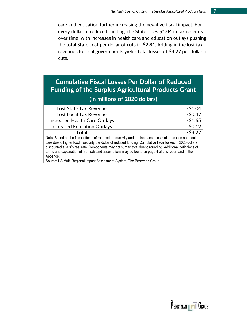care and education further increasing the negative fiscal impact. For every dollar of reduced funding, the State loses **\$1.04** in tax receipts over time, with increases in health care and education outlays pushing the total State cost per dollar of cuts to **\$2.81**. Adding in the lost tax revenues to local governments yields total losses of **\$3.27** per dollar in cuts.

## **Cumulative Fiscal Losses Per Dollar of Reduced Funding of the Surplus Agricultural Products Grant**

#### **(in millions of 2020 dollars)**

| Lost State Tax Revenue                                                                                      | $-$1.04$   |  |
|-------------------------------------------------------------------------------------------------------------|------------|--|
| Lost Local Tax Revenue                                                                                      | $-$0.47$   |  |
| Increased Health Care Outlays                                                                               | $-$1.65$   |  |
| <b>Increased Education Outlays</b>                                                                          | $-50.12$   |  |
| Total                                                                                                       | $-$ \$3.27 |  |
| Alota: Reseal on the fiscal effects of reduced productivity and the increased costs of education and health |            |  |

Note: Based on the fiscal effects of reduced productivity and the increased costs of education and health care due to higher food insecurity per dollar of reduced funding. Cumulative fiscal losses in 2020 dollars discounted at a 3% real rate. Components may not sum to total due to rounding. Additional definitions of terms and explanation of methods and assumptions may be found on page 4 of this report and in the Appendix.

Source: US Multi-Regional Impact Assessment System, The Perryman Group

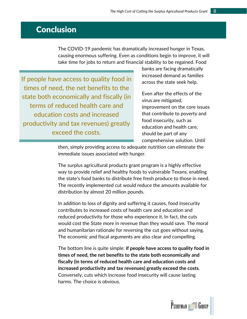## <span id="page-10-0"></span>**Conclusion**

The COVID-19 pandemic has dramatically increased hunger in Texas, causing enormous suffering. Even as conditions begin to improve, it will take time for jobs to return and financial stability to be regained. Food

If people have access to quality food in times of need, the net benefits to the state both economically and fiscally (in terms of reduced health care and education costs and increased productivity and tax revenues) greatly exceed the costs.

banks are facing dramatically increased demand as families across the state seek help.

Even after the effects of the virus are mitigated, improvement on the core issues that contribute to poverty and food insecurity, such as education and health care, should be part of any comprehensive solution. Until

then, simply providing access to adequate nutrition can eliminate the immediate issues associated with hunger.

The surplus agricultural products grant program is a highly effective way to provide relief and healthy foods to vulnerable Texans, enabling the state's food banks to distribute free fresh produce to those in need. The recently implemented cut would reduce the amounts available for distribution by almost 20 million pounds.

In addition to loss of dignity and suffering it causes, food insecurity contributes to increased costs of health care and education and reduced productivity for those who experience it. In fact, the cuts would cost the State more in revenue than they would save. The moral and humanitarian rationale for reversing the cut goes without saying. The economic and fiscal arguments are also clear and compelling.

The bottom line is quite simple: **if people have access to quality food in times of need, the net benefits to the state both economically and fiscally (in terms of reduced health care and education costs and increased productivity and tax revenues) greatly exceed the costs**. Conversely, cuts which increase food insecurity will cause lasting harms. The choice is obvious.

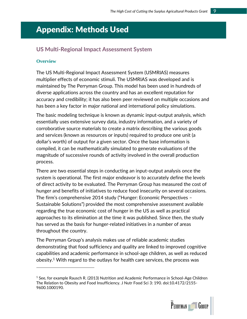## <span id="page-11-0"></span>Appendix: Methods Used

#### **US Multi-Regional Impact Assessment System**

#### **Overview**

The US Multi-Regional Impact Assessment System (USMRIAS) measures multiplier effects of economic stimuli. The USMRIAS was developed and is maintained by The Perryman Group. This model has been used in hundreds of diverse applications across the country and has an excellent reputation for accuracy and credibility; it has also been peer reviewed on multiple occasions and has been a key factor in major national and international policy simulations.

The basic modeling technique is known as dynamic input-output analysis, which essentially uses extensive survey data, industry information, and a variety of corroborative source materials to create a matrix describing the various goods and services (known as resources or inputs) required to produce one unit (a dollar's worth) of output for a given sector. Once the base information is compiled, it can be mathematically simulated to generate evaluations of the magnitude of successive rounds of activity involved in the overall production process.

There are two essential steps in conducting an input-output analysis once the system is operational. The first major endeavor is to accurately define the levels of direct activity to be evaluated. The Perryman Group has measured the cost of hunger and benefits of initiatives to reduce food insecurity on several occasions. The firm's comprehensive 2014 study ("Hunger: Economic Perspectives – Sustainable Solutions") provided the most comprehensive assessment available regarding the true economic cost of hunger in the US as well as practical approaches to its elimination at the time it was published. Since then, the study has served as the basis for hunger-related initiatives in a number of areas throughout the country.

The Perryman Group's analysis makes use of reliable academic studies demonstrating that food sufficiency and quality are linked to improved cognitive capabilities and academic performance in school-age children, as well as reduced obesity.<sup>1</sup> With regard to the outlays for health care services, the process was

<sup>&</sup>lt;sup>1</sup> See, for example Rausch R. (2013) Nutrition and Academic Performance in School-Age Children The Relation to Obesity and Food Insufficiency. J Nutr Food Sci 3: 190. doi:10.4172/2155- 9600.1000190.

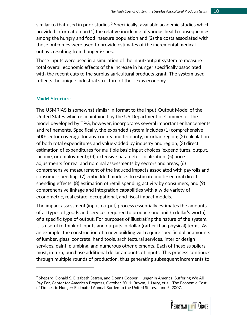similar to that used in prior studies.<sup>2</sup> Specifically, available academic studies which provided information on (1) the relative incidence of various health consequences among the hungry and food insecure population and (2) the costs associated with those outcomes were used to provide estimates of the incremental medical outlays resulting from hunger issues.

These inputs were used in a simulation of the input-output system to measure total overall economic effects of the increase in hunger specifically associated with the recent cuts to the surplus agricultural products grant. The system used reflects the unique industrial structure of the Texas economy.

#### **Model Structure**

The USMRIAS is somewhat similar in format to the Input-Output Model of the United States which is maintained by the US Department of Commerce. The model developed by TPG, however, incorporates several important enhancements and refinements. Specifically, the expanded system includes (1) comprehensive 500-sector coverage for any county, multi-county, or urban region; (2) calculation of both total expenditures and value-added by industry and region; (3) direct estimation of expenditures for multiple basic input choices (expenditures, output, income, or employment); (4) extensive parameter localization; (5) price adjustments for real and nominal assessments by sectors and areas; (6) comprehensive measurement of the induced impacts associated with payrolls and consumer spending; (7) embedded modules to estimate multi-sectoral direct spending effects; (8) estimation of retail spending activity by consumers; and (9) comprehensive linkage and integration capabilities with a wide variety of econometric, real estate, occupational, and fiscal impact models.

The impact assessment (input-output) process essentially estimates the amounts of all types of goods and services required to produce one unit (a dollar's worth) of a specific type of output. For purposes of illustrating the nature of the system, it is useful to think of inputs and outputs in dollar (rather than physical) terms. As an example, the construction of a new building will require specific dollar amounts of lumber, glass, concrete, hand tools, architectural services, interior design services, paint, plumbing, and numerous other elements. Each of these suppliers must, in turn, purchase additional dollar amounts of inputs. This process continues through multiple rounds of production, thus generating subsequent increments to

 $<sup>2</sup>$  Shepard, Donald S, Elizabeth Setren, and Donna Cooper, Hunger in America: Suffering We All</sup> Pay For, Center for American Progress, October 2011; Brown, J. Larry, et al., The Economic Cost of Domestic Hunger: Estimated Annual Burden to the United States, June 5, 2007.

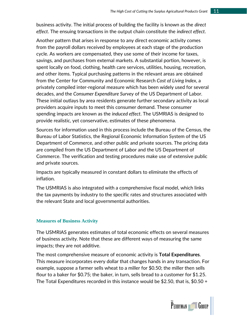business activity. The initial process of building the facility is known as the *direct effect*. The ensuing transactions in the output chain constitute the *indirect effect*.

Another pattern that arises in response to any direct economic activity comes from the payroll dollars received by employees at each stage of the production cycle. As workers are compensated, they use some of their income for taxes, savings, and purchases from external markets. A substantial portion, however, is spent locally on food, clothing, health care services, utilities, housing, recreation, and other items. Typical purchasing patterns in the relevant areas are obtained from the Center for Community and Economic Research *Cost of Living Index*, a privately compiled inter-regional measure which has been widely used for several decades, and the *Consumer Expenditure Survey* of the US Department of Labor. These initial outlays by area residents generate further secondary activity as local providers acquire inputs to meet this consumer demand. These consumer spending impacts are known as the *induced effect*. The USMRIAS is designed to provide realistic, yet conservative, estimates of these phenomena.

Sources for information used in this process include the Bureau of the Census, the Bureau of Labor Statistics, the Regional Economic Information System of the US Department of Commerce, and other public and private sources. The pricing data are compiled from the US Department of Labor and the US Department of Commerce. The verification and testing procedures make use of extensive public and private sources.

Impacts are typically measured in constant dollars to eliminate the effects of inflation.

The USMRIAS is also integrated with a comprehensive fiscal model, which links the tax payments by industry to the specific rates and structures associated with the relevant State and local governmental authorities.

#### **Measures of Business Activity**

The USMRIAS generates estimates of total economic effects on several measures of business activity. Note that these are different ways of measuring the same impacts; they are not additive.

The most comprehensive measure of economic activity is **Total Expenditures**. This measure incorporates every dollar that changes hands in any transaction. For example, suppose a farmer sells wheat to a miller for \$0.50; the miller then sells flour to a baker for \$0.75; the baker, in turn, sells bread to a customer for \$1.25. The Total Expenditures recorded in this instance would be \$2.50, that is, \$0.50 +

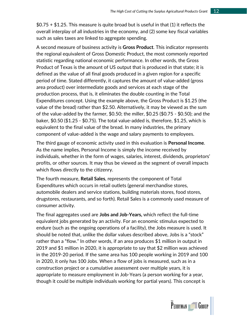$$0.75 + $1.25$ . This measure is quite broad but is useful in that (1) it reflects the overall interplay of all industries in the economy, and (2) some key fiscal variables such as sales taxes are linked to aggregate spending.

A second measure of business activity is **Gross Product**. This indicator represents the regional equivalent of Gross Domestic Product, the most commonly reported statistic regarding national economic performance. In other words, the Gross Product of Texas is the amount of US output that is produced in that state; it is defined as the value of all final goods produced in a given region for a specific period of time. Stated differently, it captures the amount of value-added (gross area product) over intermediate goods and services at each stage of the production process, that is, it eliminates the double counting in the Total Expenditures concept. Using the example above, the Gross Product is \$1.25 (the value of the bread) rather than \$2.50. Alternatively, it may be viewed as the sum of the value-added by the farmer, \$0.50; the miller, \$0.25 (\$0.75 - \$0.50); and the baker, \$0.50 (\$1.25 - \$0.75). The total value-added is, therefore, \$1.25, which is equivalent to the final value of the bread. In many industries, the primary component of value-added is the wage and salary payments to employees.

The third gauge of economic activity used in this evaluation is **Personal Income**. As the name implies, Personal Income is simply the income received by individuals, whether in the form of wages, salaries, interest, dividends, proprietors' profits, or other sources. It may thus be viewed as the segment of overall impacts which flows directly to the citizenry.

The fourth measure, **Retail Sales**, represents the component of Total Expenditures which occurs in retail outlets (general merchandise stores, automobile dealers and service stations, building materials stores, food stores, drugstores, restaurants, and so forth). Retail Sales is a commonly used measure of consumer activity.

The final aggregates used are **Jobs and Job-Years,** which reflect the full-time equivalent jobs generated by an activity. For an economic stimulus expected to endure (such as the ongoing operations of a facility), the Jobs measure is used. It should be noted that, unlike the dollar values described above, Jobs is a "stock" rather than a "flow." In other words, if an area produces \$1 million in output in 2019 and \$1 million in 2020, it is appropriate to say that \$2 million was achieved in the 2019-20 period. If the same area has 100 people working in 2019 and 100 in 2020, it only has 100 Jobs. When a flow of jobs is measured, such as in a construction project or a cumulative assessment over multiple years, it is appropriate to measure employment in Job-Years (a person working for a year, though it could be multiple individuals working for partial years). This concept is